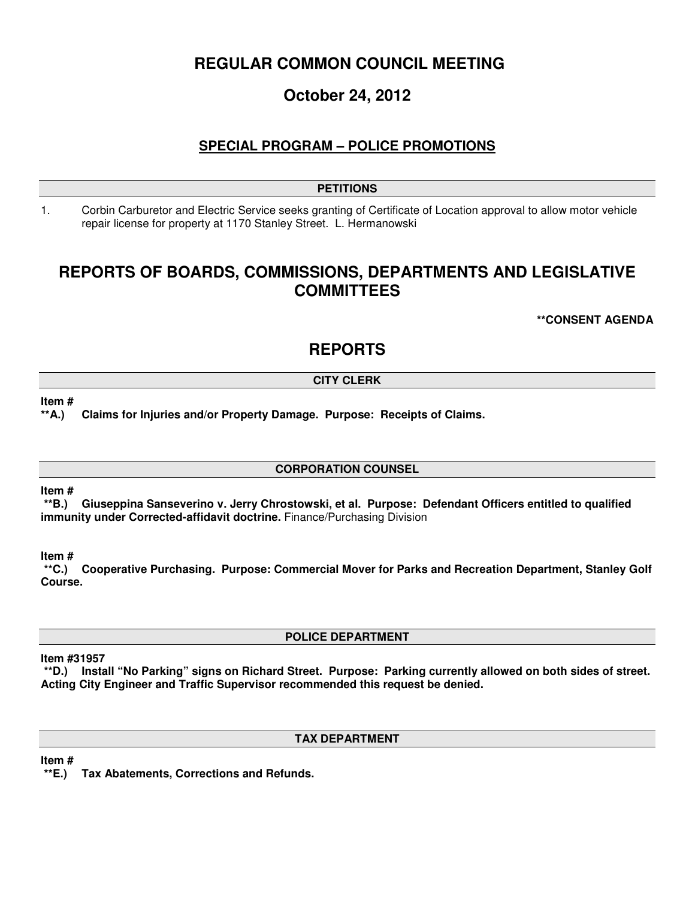# **REGULAR COMMON COUNCIL MEETING**

# **October 24, 2012**

## **SPECIAL PROGRAM – POLICE PROMOTIONS**

## **PETITIONS**

1. Corbin Carburetor and Electric Service seeks granting of Certificate of Location approval to allow motor vehicle repair license for property at 1170 Stanley Street. L. Hermanowski

## **REPORTS OF BOARDS, COMMISSIONS, DEPARTMENTS AND LEGISLATIVE COMMITTEES**

**\*\*CONSENT AGENDA** 

## **REPORTS**

## **CITY CLERK**

### **Item #**

**\*\*A.) Claims for Injuries and/or Property Damage. Purpose: Receipts of Claims.**

### **CORPORATION COUNSEL**

### **Item #**

 **\*\*B.) Giuseppina Sanseverino v. Jerry Chrostowski, et al. Purpose: Defendant Officers entitled to qualified immunity under Corrected-affidavit doctrine.** Finance/Purchasing Division

**Item #** 

 **\*\*C.) Cooperative Purchasing. Purpose: Commercial Mover for Parks and Recreation Department, Stanley Golf Course.** 

**POLICE DEPARTMENT** 

### **Item #31957**

 **\*\*D.) Install "No Parking" signs on Richard Street. Purpose: Parking currently allowed on both sides of street. Acting City Engineer and Traffic Supervisor recommended this request be denied.** 

### **TAX DEPARTMENT**

**Item #** 

 **\*\*E.) Tax Abatements, Corrections and Refunds.**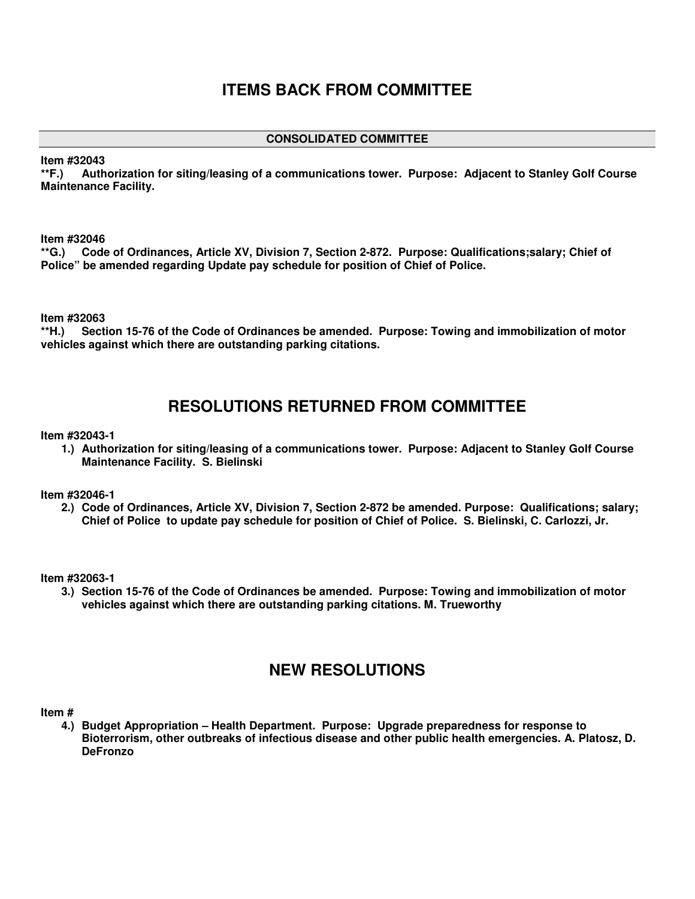# **ITEMS BACK FROM COMMITTEE**

### **CONSOLIDATED COMMITTEE**

**Item #32043** 

**\*\*F.) Authorization for siting/leasing of a communications tower. Purpose: Adjacent to Stanley Golf Course Maintenance Facility.** 

**Item #32046** 

**\*\*G.) Code of Ordinances, Article XV, Division 7, Section 2-872. Purpose: Qualifications;salary; Chief of Police" be amended regarding Update pay schedule for position of Chief of Police.** 

**Item #32063** 

**\*\*H.) Section 15-76 of the Code of Ordinances be amended. Purpose: Towing and immobilization of motor vehicles against which there are outstanding parking citations.** 

# **RESOLUTIONS RETURNED FROM COMMITTEE**

**Item #32043-1** 

**1.) Authorization for siting/leasing of a communications tower. Purpose: Adjacent to Stanley Golf Course Maintenance Facility. S. Bielinski** 

**Item #32046-1** 

**2.) Code of Ordinances, Article XV, Division 7, Section 2-872 be amended. Purpose: Qualifications; salary; Chief of Police to update pay schedule for position of Chief of Police. S. Bielinski, C. Carlozzi, Jr.** 

**Item #32063-1** 

**3.) Section 15-76 of the Code of Ordinances be amended. Purpose: Towing and immobilization of motor vehicles against which there are outstanding parking citations. M. Trueworthy** 

## **NEW RESOLUTIONS**

**Item #** 

**4.) Budget Appropriation – Health Department. Purpose: Upgrade preparedness for response to Bioterrorism, other outbreaks of infectious disease and other public health emergencies. A. Platosz, D. DeFronzo**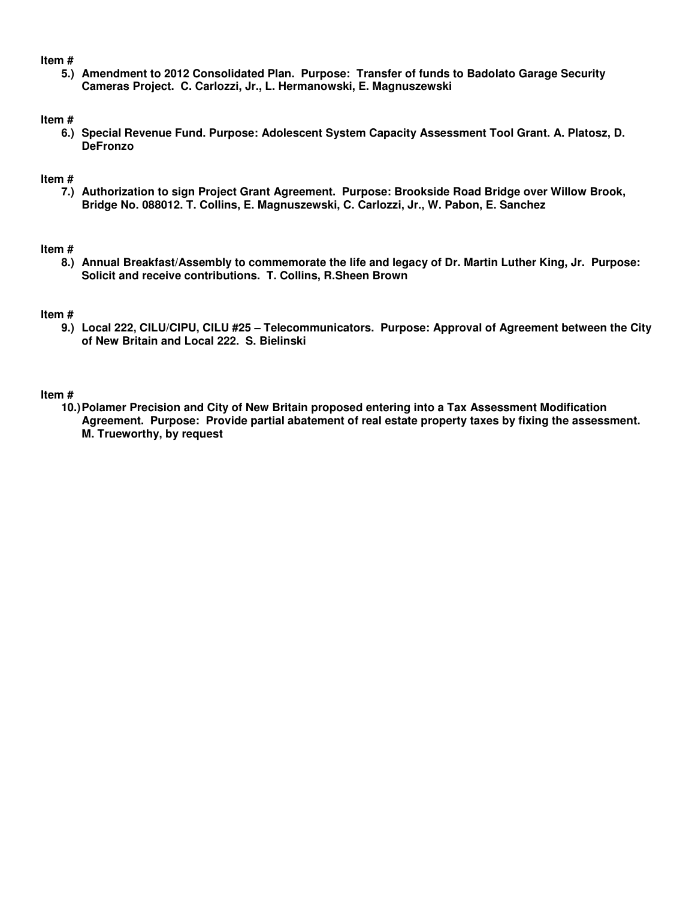### **Item #**

**5.) Amendment to 2012 Consolidated Plan. Purpose: Transfer of funds to Badolato Garage Security Cameras Project. C. Carlozzi, Jr., L. Hermanowski, E. Magnuszewski** 

### **Item #**

**6.) Special Revenue Fund. Purpose: Adolescent System Capacity Assessment Tool Grant. A. Platosz, D. DeFronzo** 

### **Item #**

**7.) Authorization to sign Project Grant Agreement. Purpose: Brookside Road Bridge over Willow Brook, Bridge No. 088012. T. Collins, E. Magnuszewski, C. Carlozzi, Jr., W. Pabon, E. Sanchez** 

### **Item #**

**8.) Annual Breakfast/Assembly to commemorate the life and legacy of Dr. Martin Luther King, Jr. Purpose: Solicit and receive contributions. T. Collins, R.Sheen Brown**

### **Item #**

**9.) Local 222, CILU/CIPU, CILU #25 – Telecommunicators. Purpose: Approval of Agreement between the City of New Britain and Local 222. S. Bielinski** 

### **Item #**

**10.) Polamer Precision and City of New Britain proposed entering into a Tax Assessment Modification Agreement. Purpose: Provide partial abatement of real estate property taxes by fixing the assessment. M. Trueworthy, by request**